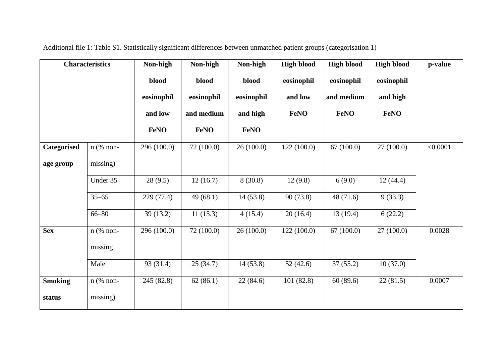|                | <b>Characteristics</b> | Non-high    | Non-high     | Non-high    | <b>High blood</b> | <b>High blood</b> | <b>High blood</b> | p-value  |
|----------------|------------------------|-------------|--------------|-------------|-------------------|-------------------|-------------------|----------|
|                |                        | blood       | <b>blood</b> | blood       | eosinophil        | eosinophil        | eosinophil        |          |
|                |                        | eosinophil  | eosinophil   | eosinophil  | and low           | and medium        | and high          |          |
|                |                        | and low     | and medium   | and high    | <b>FeNO</b>       | <b>FeNO</b>       | <b>FeNO</b>       |          |
|                |                        | <b>FeNO</b> | <b>FeNO</b>  | <b>FeNO</b> |                   |                   |                   |          |
| Categorised    | $n$ (% non-            | 296 (100.0) | 72 (100.0)   | 26(100.0)   | 122(100.0)        | 67(100.0)         | 27(100.0)         | < 0.0001 |
| age group      | missing)               |             |              |             |                   |                   |                   |          |
|                | Under 35               | 28(9.5)     | 12(16.7)     | 8(30.8)     | 12(9.8)           | 6(9.0)            | 12(44.4)          |          |
|                | $35 - 65$              | 229 (77.4)  | 49(68.1)     | 14(53.8)    | 90(73.8)          | 48 $(71.6)$       | 9(33.3)           |          |
|                | $66 - 80$              | 39(13.2)    | 11(15.3)     | 4(15.4)     | 20(16.4)          | 13(19.4)          | 6(22.2)           |          |
| <b>Sex</b>     | $n$ (% non-            | 296 (100.0) | 72 (100.0)   | 26(100.0)   | 122(100.0)        | 67(100.0)         | 27(100.0)         | 0.0028   |
|                | missing                |             |              |             |                   |                   |                   |          |
|                | Male                   | 93 (31.4)   | 25(34.7)     | 14(53.8)    | 52(42.6)          | 37(55.2)          | 10(37.0)          |          |
| <b>Smoking</b> | $n$ (% non-            | 245 (82.8)  | 62(86.1)     | 22(84.6)    | 101(82.8)         | 60(89.6)          | 22(81.5)          | 0.0007   |
| status         | missing)               |             |              |             |                   |                   |                   |          |

Additional file 1: Table S1. Statistically significant differences between unmatched patient groups (categorisation 1)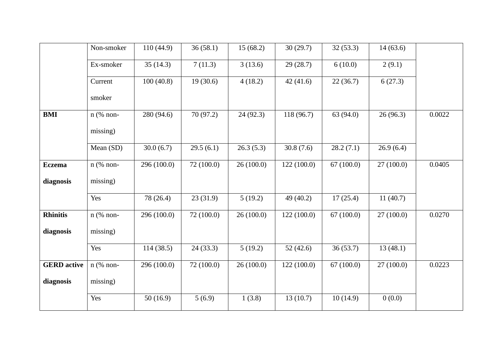|                    | Non-smoker  | 110(44.9)   | 36(58.1)   | 15(68.2)  | 30(29.7)   | 32(53.3)    | 14(63.6)   |        |
|--------------------|-------------|-------------|------------|-----------|------------|-------------|------------|--------|
|                    | Ex-smoker   | 35(14.3)    | 7(11.3)    | 3(13.6)   | 29(28.7)   | 6(10.0)     | 2(9.1)     |        |
|                    | Current     | 100(40.8)   | 19(30.6)   | 4(18.2)   | 42(41.6)   | 22(36.7)    | 6(27.3)    |        |
|                    | smoker      |             |            |           |            |             |            |        |
| <b>BMI</b>         | $n$ (% non- | 280 (94.6)  | 70(97.2)   | 24(92.3)  | 118 (96.7) | 63 $(94.0)$ | 26(96.3)   | 0.0022 |
|                    | missing)    |             |            |           |            |             |            |        |
|                    | Mean (SD)   | 30.0(6.7)   | 29.5(6.1)  | 26.3(5.3) | 30.8(7.6)  | 28.2(7.1)   | 26.9(6.4)  |        |
| <b>Eczema</b>      | $n$ (% non- | 296 (100.0) | 72 (100.0) | 26(100.0) | 122(100.0) | 67(100.0)   | 27 (100.0) | 0.0405 |
| diagnosis          | missing)    |             |            |           |            |             |            |        |
|                    | Yes         | 78 (26.4)   | 23(31.9)   | 5(19.2)   | 49 (40.2)  | 17(25.4)    | 11(40.7)   |        |
| <b>Rhinitis</b>    | $n$ (% non- | 296 (100.0) | 72 (100.0) | 26(100.0) | 122(100.0) | 67(100.0)   | 27 (100.0) | 0.0270 |
| diagnosis          | missing)    |             |            |           |            |             |            |        |
|                    | Yes         | 114(38.5)   | 24(33.3)   | 5(19.2)   | 52(42.6)   | 36(53.7)    | 13(48.1)   |        |
| <b>GERD</b> active | $n$ (% non- | 296 (100.0) | 72 (100.0) | 26(100.0) | 122(100.0) | 67(100.0)   | 27 (100.0) | 0.0223 |
| diagnosis          | missing)    |             |            |           |            |             |            |        |
|                    | Yes         | 50(16.9)    | 5(6.9)     | 1(3.8)    | 13(10.7)   | 10(14.9)    | 0(0.0)     |        |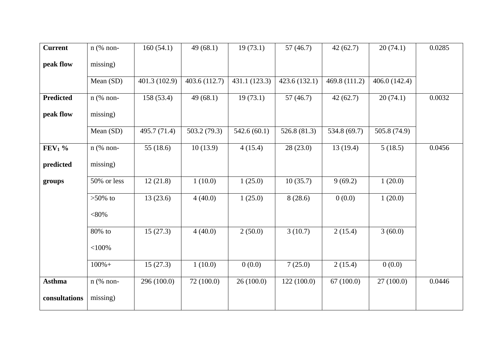| <b>Current</b>   | $n$ (% non- | 160(54.1)     | 49(68.1)      | 19(73.1)      | 57(46.7)     | 42(62.7)      | 20(74.1)     | 0.0285 |
|------------------|-------------|---------------|---------------|---------------|--------------|---------------|--------------|--------|
| peak flow        | missing)    |               |               |               |              |               |              |        |
|                  | Mean (SD)   | 401.3 (102.9) | 403.6 (112.7) | 431.1 (123.3) | 423.6(132.1) | 469.8 (111.2) | 406.0(142.4) |        |
| <b>Predicted</b> | $n$ (% non- | 158(53.4)     | 49(68.1)      | 19(73.1)      | 57 $(46.7)$  | 42(62.7)      | 20(74.1)     | 0.0032 |
| peak flow        | missing)    |               |               |               |              |               |              |        |
|                  | Mean (SD)   | 495.7 (71.4)  | 503.2 (79.3)  | 542.6(60.1)   | 526.8(81.3)  | 534.8 (69.7)  | 505.8 (74.9) |        |
| $FEV1$ %         | n (% non-   | 55 $(18.6)$   | 10(13.9)      | 4(15.4)       | 28(23.0)     | 13(19.4)      | 5(18.5)      | 0.0456 |
| predicted        | missing)    |               |               |               |              |               |              |        |
| groups           | 50% or less | 12(21.8)      | 1(10.0)       | 1(25.0)       | 10(35.7)     | 9(69.2)       | 1(20.0)      |        |
|                  | $>50\%$ to  | 13(23.6)      | 4(40.0)       | 1(25.0)       | 8(28.6)      | 0(0.0)        | 1(20.0)      |        |
|                  | $< 80\%$    |               |               |               |              |               |              |        |
|                  | 80% to      | 15(27.3)      | 4(40.0)       | 2(50.0)       | 3(10.7)      | 2(15.4)       | 3(60.0)      |        |
|                  | $<$ 100%    |               |               |               |              |               |              |        |
|                  | $100% +$    | 15(27.3)      | 1(10.0)       | 0(0.0)        | 7(25.0)      | 2(15.4)       | 0(0.0)       |        |
| <b>Asthma</b>    | $n$ (% non- | 296 (100.0)   | 72(100.0)     | 26(100.0)     | 122(100.0)   | 67(100.0)     | 27(100.0)    | 0.0446 |
| consultations    | missing)    |               |               |               |              |               |              |        |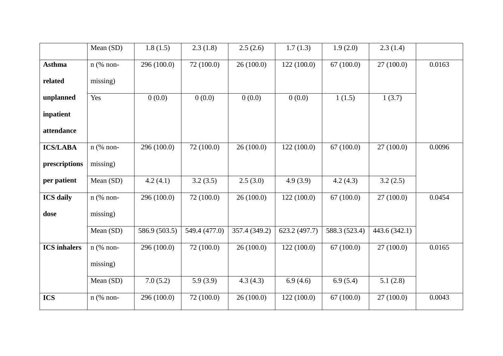|                     | Mean (SD)   | 1.8(1.5)      | 2.3(1.8)      | 2.5(2.6)      | 1.7(1.3)      | 1.9(2.0)      | 2.3(1.4)      |        |
|---------------------|-------------|---------------|---------------|---------------|---------------|---------------|---------------|--------|
| <b>Asthma</b>       | $n$ (% non- | 296 (100.0)   | 72 (100.0)    | 26(100.0)     | 122(100.0)    | 67(100.0)     | 27(100.0)     | 0.0163 |
| related             | missing)    |               |               |               |               |               |               |        |
| unplanned           | Yes         | 0(0.0)        | 0(0.0)        | 0(0.0)        | 0(0.0)        | 1(1.5)        | 1(3.7)        |        |
| inpatient           |             |               |               |               |               |               |               |        |
| attendance          |             |               |               |               |               |               |               |        |
| <b>ICS/LABA</b>     | $n$ (% non- | 296 (100.0)   | 72 (100.0)    | 26(100.0)     | 122(100.0)    | 67(100.0)     | 27 (100.0)    | 0.0096 |
| prescriptions       | missing)    |               |               |               |               |               |               |        |
| per patient         | Mean (SD)   | 4.2(4.1)      | 3.2(3.5)      | 2.5(3.0)      | 4.9(3.9)      | 4.2(4.3)      | 3.2(2.5)      |        |
| <b>ICS</b> daily    | n (% non-   | 296 (100.0)   | 72 (100.0)    | 26(100.0)     | 122(100.0)    | 67(100.0)     | 27 (100.0)    | 0.0454 |
| dose                | missing)    |               |               |               |               |               |               |        |
|                     | Mean (SD)   | 586.9 (503.5) | 549.4 (477.0) | 357.4 (349.2) | 623.2 (497.7) | 588.3 (523.4) | 443.6 (342.1) |        |
| <b>ICS</b> inhalers | n (% non-   | 296 (100.0)   | 72 (100.0)    | 26(100.0)     | 122(100.0)    | 67(100.0)     | 27 (100.0)    | 0.0165 |
|                     | missing)    |               |               |               |               |               |               |        |
|                     | Mean (SD)   | 7.0(5.2)      | 5.9(3.9)      | 4.3(4.3)      | 6.9(4.6)      | 6.9(5.4)      | 5.1(2.8)      |        |
| <b>ICS</b>          | $n$ (% non- | 296 (100.0)   | 72 (100.0)    | 26(100.0)     | 122(100.0)    | 67(100.0)     | 27 (100.0)    | 0.0043 |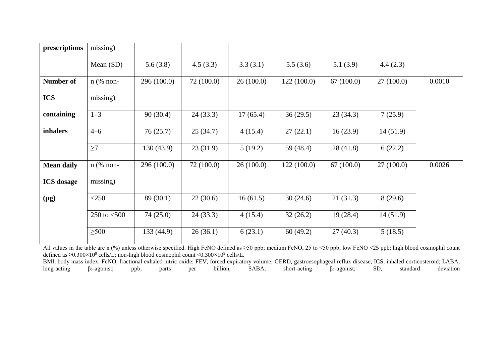| prescriptions     | missing)       |             |           |           |            |           |           |        |
|-------------------|----------------|-------------|-----------|-----------|------------|-----------|-----------|--------|
|                   | Mean (SD)      | 5.6(3.8)    | 4.5(3.3)  | 3.3(3.1)  | 5.5(3.6)   | 5.1(3.9)  | 4.4(2.3)  |        |
| <b>Number of</b>  | $n$ (% non-    | 296 (100.0) | 72(100.0) | 26(100.0) | 122(100.0) | 67(100.0) | 27(100.0) | 0.0010 |
| <b>ICS</b>        | missing)       |             |           |           |            |           |           |        |
| containing        | $1 - 3$        | 90(30.4)    | 24(33.3)  | 17(65.4)  | 36(29.5)   | 23(34.3)  | 7(25.9)   |        |
| <b>inhalers</b>   | $4 - 6$        | 76(25.7)    | 25(34.7)  | 4(15.4)   | 27(22.1)   | 16(23.9)  | 14(51.9)  |        |
|                   | $\geq$ 7       | 130(43.9)   | 23(31.9)  | 5(19.2)   | 59 (48.4)  | 28(41.8)  | 6(22.2)   |        |
| <b>Mean daily</b> | $n$ (% non-    | 296(100.0)  | 72(100.0) | 26(100.0) | 122(100.0) | 67(100.0) | 27(100.0) | 0.0026 |
| <b>ICS</b> dosage | missing)       |             |           |           |            |           |           |        |
| $(\mu g)$         | $<$ 250        | 89(30.1)    | 22(30.6)  | 16(61.5)  | 30(24.6)   | 21(31.3)  | 8(29.6)   |        |
|                   | 250 to $<$ 500 | 74(25.0)    | 24(33.3)  | 4(15.4)   | 32(26.2)   | 19(28.4)  | 14(51.9)  |        |
|                   | $\geq 500$     | 133 (44.9)  | 26(36.1)  | 6(23.1)   | 60(49.2)   | 27(40.3)  | 5(18.5)   |        |

All values in the table are n (%) unless otherwise specified. High FeNO defined as ≥50 ppb; medium FeNO, 25 to <50 ppb; low FeNO <25 ppb; high blood eosinophil count defined as  $\geq$ 0.300×10<sup>9</sup> cells/L; non-high blood eosinophil count <0.300×10<sup>9</sup> cells/L. BMI, body mass index; FeNO, fractional exhaled nitric oxide; FEV, forced expiratory volume; GERD, gastroesophageal reflux disease; ICS, inhaled corticosteroid; LABA, long-acting  $\beta_2$ -agonist; ppb, parts per billion; SAB long-acting β2-agonist; ppb, parts per billion; SABA, short-acting β2-agonist; SD, standard deviation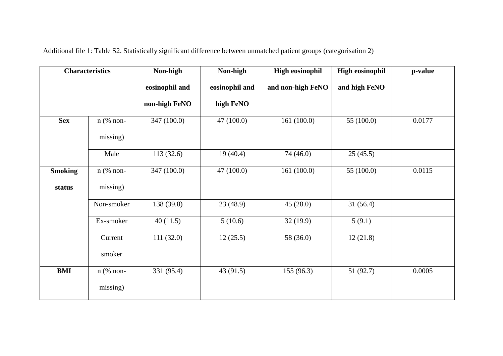|                | <b>Characteristics</b> | Non-high       | Non-high       | <b>High eosinophil</b> | <b>High eosinophil</b> | p-value |
|----------------|------------------------|----------------|----------------|------------------------|------------------------|---------|
|                |                        | eosinophil and | eosinophil and | and non-high FeNO      | and high FeNO          |         |
|                |                        | non-high FeNO  | high FeNO      |                        |                        |         |
| <b>Sex</b>     | $n$ (% non-            | 347 (100.0)    | 47(100.0)      | 161(100.0)             | 55 $(100.0)$           | 0.0177  |
|                | missing)               |                |                |                        |                        |         |
|                | Male                   | 113(32.6)      | 19(40.4)       | 74 (46.0)              | 25(45.5)               |         |
| <b>Smoking</b> | $n$ (% non-            | 347 (100.0)    | 47(100.0)      | 161 (100.0)            | 55 (100.0)             | 0.0115  |
| status         | missing)               |                |                |                        |                        |         |
|                | Non-smoker             | 138 (39.8)     | 23(48.9)       | 45(28.0)               | 31(56.4)               |         |
|                | Ex-smoker              | 40(11.5)       | 5(10.6)        | 32(19.9)               | 5(9.1)                 |         |
|                | Current                | 111(32.0)      | 12(25.5)       | 58 (36.0)              | 12(21.8)               |         |
|                | smoker                 |                |                |                        |                        |         |
| <b>BMI</b>     | $n$ (% non-            | 331 (95.4)     | 43 $(91.5)$    | 155 (96.3)             | 51 (92.7)              | 0.0005  |
|                | missing)               |                |                |                        |                        |         |

Additional file 1: Table S2. Statistically significant difference between unmatched patient groups (categorisation 2)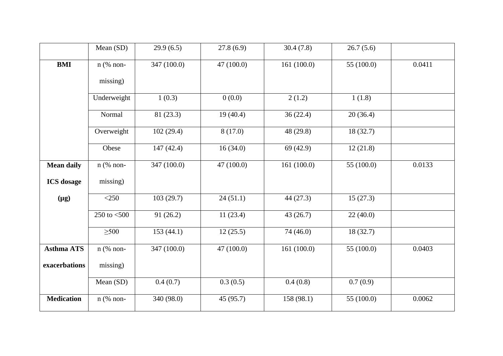|                   | Mean (SD)               | 29.9(6.5)   | 27.8(6.9)  | 30.4(7.8)  | 26.7(5.6)    |        |
|-------------------|-------------------------|-------------|------------|------------|--------------|--------|
| <b>BMI</b>        | $n$ (% non-<br>missing) | 347 (100.0) | 47(100.0)  | 161(100.0) | 55 (100.0)   | 0.0411 |
|                   | Underweight             | 1(0.3)      | 0(0.0)     | 2(1.2)     | 1(1.8)       |        |
|                   | Normal                  | 81 (23.3)   | 19(40.4)   | 36(22.4)   | 20(36.4)     |        |
|                   | Overweight              | 102(29.4)   | 8(17.0)    | 48 (29.8)  | 18(32.7)     |        |
|                   | Obese                   | 147(42.4)   | 16(34.0)   | 69 (42.9)  | 12(21.8)     |        |
| <b>Mean daily</b> | $n$ (% non-             | 347 (100.0) | 47 (100.0) | 161(100.0) | 55 (100.0)   | 0.0133 |
| <b>ICS</b> dosage | missing)                |             |            |            |              |        |
| $(\mu g)$         | $<$ 250                 | 103(29.7)   | 24(51.1)   | 44(27.3)   | 15(27.3)     |        |
|                   | 250 to $<$ 500          | 91(26.2)    | 11(23.4)   | 43(26.7)   | 22(40.0)     |        |
|                   | $\geq 500$              | 153(44.1)   | 12(25.5)   | 74 (46.0)  | 18(32.7)     |        |
| <b>Asthma ATS</b> | $n$ (% non-             | 347 (100.0) | 47(100.0)  | 161(100.0) | 55 $(100.0)$ | 0.0403 |
| exacerbations     | missing)                |             |            |            |              |        |
|                   | Mean (SD)               | 0.4(0.7)    | 0.3(0.5)   | 0.4(0.8)   | 0.7(0.9)     |        |
| <b>Medication</b> | $n$ (% non-             | 340 (98.0)  | 45(95.7)   | 158 (98.1) | 55 $(100.0)$ | 0.0062 |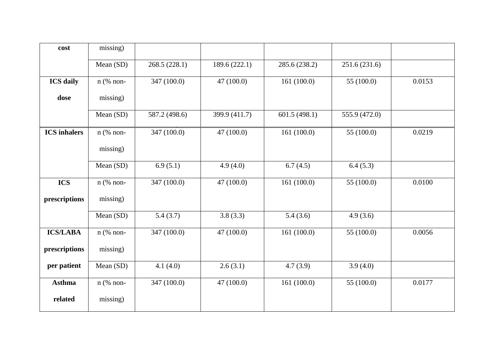| cost                | missing)    |               |               |               |               |        |
|---------------------|-------------|---------------|---------------|---------------|---------------|--------|
|                     | Mean (SD)   | 268.5 (228.1) | 189.6 (222.1) | 285.6 (238.2) | 251.6 (231.6) |        |
| <b>ICS</b> daily    | $n$ (% non- | 347 (100.0)   | 47(100.0)     | 161(100.0)    | 55 $(100.0)$  | 0.0153 |
| dose                | missing)    |               |               |               |               |        |
|                     | Mean (SD)   | 587.2 (498.6) | 399.9 (411.7) | 601.5(498.1)  | 555.9 (472.0) |        |
| <b>ICS</b> inhalers | $n$ (% non- | 347 (100.0)   | 47(100.0)     | 161(100.0)    | 55 $(100.0)$  | 0.0219 |
|                     | missing)    |               |               |               |               |        |
|                     | Mean (SD)   | 6.9(5.1)      | 4.9(4.0)      | 6.7(4.5)      | 6.4(5.3)      |        |
| <b>ICS</b>          | $n$ (% non- | 347 (100.0)   | 47(100.0)     | 161(100.0)    | 55 $(100.0)$  | 0.0100 |
| prescriptions       | missing)    |               |               |               |               |        |
|                     | Mean (SD)   | 5.4(3.7)      | 3.8(3.3)      | 5.4(3.6)      | 4.9(3.6)      |        |
| <b>ICS/LABA</b>     | $n$ (% non- | 347 (100.0)   | 47(100.0)     | 161(100.0)    | 55 $(100.0)$  | 0.0056 |
| prescriptions       | missing)    |               |               |               |               |        |
| per patient         | Mean (SD)   | 4.1(4.0)      | 2.6(3.1)      | 4.7(3.9)      | 3.9(4.0)      |        |
| <b>Asthma</b>       | $n$ (% non- | 347 (100.0)   | 47(100.0)     | 161(100.0)    | 55 $(100.0)$  | 0.0177 |
| related             | missing)    |               |               |               |               |        |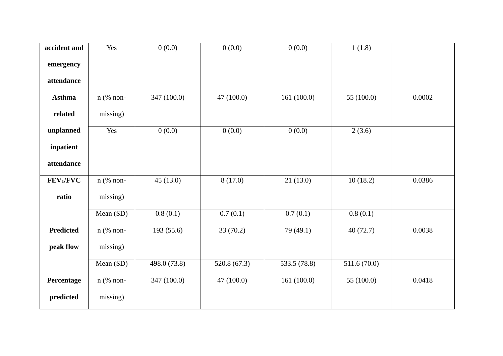| accident and     | Yes         | 0(0.0)       | 0(0.0)                | 0(0.0)                | 1(1.8)      |        |
|------------------|-------------|--------------|-----------------------|-----------------------|-------------|--------|
| emergency        |             |              |                       |                       |             |        |
|                  |             |              |                       |                       |             |        |
| attendance       |             |              |                       |                       |             |        |
| <b>Asthma</b>    | $n$ (% non- | 347 (100.0)  | 47(100.0)             | 161(100.0)            | 55 (100.0)  | 0.0002 |
| related          | missing)    |              |                       |                       |             |        |
| unplanned        | Yes         | 0(0.0)       | 0(0.0)                | $\overline{0(0.0)}$   | 2(3.6)      |        |
| inpatient        |             |              |                       |                       |             |        |
| attendance       |             |              |                       |                       |             |        |
| FEV1/FVC         | $n$ (% non- | 45(13.0)     | 8(17.0)               | 21(13.0)              | 10(18.2)    | 0.0386 |
| ratio            | missing)    |              |                       |                       |             |        |
|                  | Mean (SD)   | 0.8(0.1)     | $\overline{0.7(0.1)}$ | $\overline{0.7(0.1)}$ | 0.8(0.1)    |        |
| <b>Predicted</b> | $n$ (% non- | 193(55.6)    | 33(70.2)              | 79 (49.1)             | 40(72.7)    | 0.0038 |
| peak flow        | missing)    |              |                       |                       |             |        |
|                  | Mean (SD)   | 498.0 (73.8) | 520.8 $(67.3)$        | 533.5 (78.8)          | 511.6(70.0) |        |
| Percentage       | $n$ (% non- | 347 (100.0)  | 47(100.0)             | 161(100.0)            | 55 (100.0)  | 0.0418 |
| predicted        | missing)    |              |                       |                       |             |        |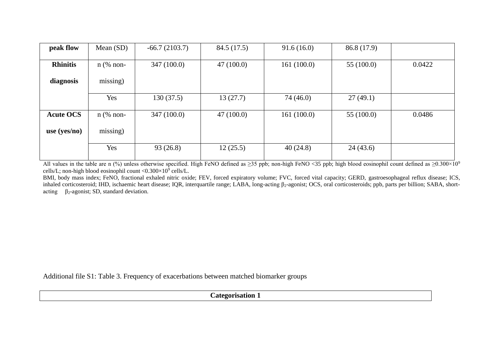| peak flow                    | Mean $(SD)$             | $-66.7(2103.7)$ | 84.5 (17.5) | 91.6(16.0) | 86.8 (17.9)  |        |
|------------------------------|-------------------------|-----------------|-------------|------------|--------------|--------|
| <b>Rhinitis</b><br>diagnosis | $n$ (% non-<br>missing) | 347 (100.0)     | 47(100.0)   | 161(100.0) | 55 $(100.0)$ | 0.0422 |
|                              | Yes                     | 130(37.5)       | 13(27.7)    | 74 (46.0)  | 27(49.1)     |        |
| <b>Acute OCS</b>             | $n$ (% non-             | 347 (100.0)     | 47(100.0)   | 161(100.0) | 55 $(100.0)$ | 0.0486 |
| use $(yes/no)$               | missing)                |                 |             |            |              |        |
|                              | Yes                     | 93(26.8)        | 12(25.5)    | 40(24.8)   | 24(43.6)     |        |

All values in the table are n (%) unless otherwise specified. High FeNO defined as  $\geq 35$  ppb; non-high FeNO <35 ppb; high blood eosinophil count defined as  $\geq 0.300 \times 10^9$ cells/L; non-high blood eosinophil count  $<$ 0.300 $\times$ 10<sup>9</sup> cells/L.

BMI, body mass index; FeNO, fractional exhaled nitric oxide; FEV, forced expiratory volume; FVC, forced vital capacity; GERD, gastroesophageal reflux disease; ICS, inhaled corticosteroid; IHD, ischaemic heart disease; IQR, interquartile range; LABA, long-acting β2-agonist; OCS, oral corticosteroids; ppb, parts per billion; SABA, shortacting  $\beta_2$ -agonist; SD, standard deviation.

Additional file S1: Table 3. Frequency of exacerbations between matched biomarker groups

**Categorisation 1**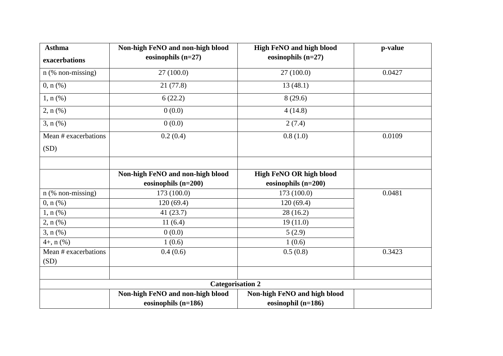| <b>Asthma</b>        | Non-high FeNO and non-high blood                        | High FeNO and high blood                             | p-value |
|----------------------|---------------------------------------------------------|------------------------------------------------------|---------|
| exacerbations        | eosinophils $(n=27)$                                    | eosinophils $(n=27)$                                 |         |
| $n$ (% non-missing)  | 27 (100.0)                                              | 27(100.0)                                            | 0.0427  |
| $0, n$ $%$           | 21(77.8)                                                | 13(48.1)                                             |         |
| $1, n (\%)$          | 6(22.2)                                                 | 8(29.6)                                              |         |
| $2, n$ (%)           | 0(0.0)                                                  | 4(14.8)                                              |         |
| $3, n$ (%)           | 0(0.0)<br>2(7.4)                                        |                                                      |         |
| Mean # exacerbations | 0.2(0.4)                                                | 0.8(1.0)                                             | 0.0109  |
| (SD)                 |                                                         |                                                      |         |
|                      | Non-high FeNO and non-high blood                        | <b>High FeNO OR high blood</b>                       |         |
|                      | eosinophils (n=200)<br>173 (100.0)                      | eosinophils $(n=200)$<br>173 (100.0)                 | 0.0481  |
| $n$ (% non-missing)  |                                                         |                                                      |         |
| 0, n (%)             | 120(69.4)                                               | 120(69.4)                                            |         |
| $1, n (\%)$          | 41(23.7)                                                | 28(16.2)                                             |         |
| $2, n$ (%)           | 11(6.4)                                                 | 19(11.0)                                             |         |
| $3, n$ (%)           | 0(0.0)                                                  | 5(2.9)                                               |         |
| $4+$ , n $(%$ )      | 1(0.6)                                                  | 1(0.6)                                               |         |
| Mean # exacerbations | 0.4(0.6)                                                | 0.5(0.8)                                             | 0.3423  |
| (SD)                 |                                                         |                                                      |         |
|                      |                                                         |                                                      |         |
|                      | <b>Categorisation 2</b>                                 |                                                      |         |
|                      | Non-high FeNO and non-high blood<br>eosinophils (n=186) | Non-high FeNO and high blood<br>eosinophil $(n=186)$ |         |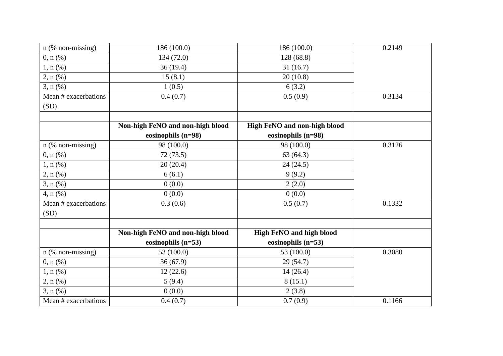| n (% non-missing)    | 186 (100.0)                      | 186 (100.0)                  | 0.2149 |
|----------------------|----------------------------------|------------------------------|--------|
| $0, n$ $%$           | 134 (72.0)                       | 128(68.8)                    |        |
| $1, n (\%)$          | 36(19.4)                         | 31(16.7)                     |        |
| $2, n$ (%)           | 15(8.1)                          | 20(10.8)                     |        |
| $3, n$ (%)           | 1(0.5)                           | 6(3.2)                       |        |
| Mean # exacerbations | 0.4(0.7)                         | 0.5(0.9)                     | 0.3134 |
| (SD)                 |                                  |                              |        |
|                      | Non-high FeNO and non-high blood | High FeNO and non-high blood |        |
|                      | eosinophils (n=98)               | eosinophils (n=98)           |        |
| n (% non-missing)    | 98 (100.0)                       | 98 (100.0)                   | 0.3126 |
| $0, n$ (%)           | 72(73.5)                         | 63(64.3)                     |        |
| 1, n (%)             | 20(20.4)                         | 24(24.5)                     |        |
| $2, n$ (%)           | 6(6.1)                           | 9(9.2)                       |        |
| $3, n$ (%)           | 0(0.0)                           | 2(2.0)                       |        |
| 4, n (%)             | 0(0.0)                           | 0(0.0)                       |        |
| Mean # exacerbations | 0.3(0.6)                         | 0.5(0.7)                     | 0.1332 |
| (SD)                 |                                  |                              |        |
|                      | Non-high FeNO and non-high blood | High FeNO and high blood     |        |
|                      | eosinophils $(n=53)$             | eosinophils $(n=53)$         |        |
| $n$ (% non-missing)  | 53 (100.0)                       | 53 (100.0)                   | 0.3080 |
| $0, n$ $%$           | 36(67.9)                         | 29(54.7)                     |        |
| $1, n (\%)$          | 12(22.6)                         | 14(26.4)                     |        |
| $2, n$ (%)           | 5(9.4)                           | 8(15.1)                      |        |
| $3, n$ (%)           | 0(0.0)                           | 2(3.8)                       |        |
| Mean # exacerbations | 0.4(0.7)                         | 0.7(0.9)                     | 0.1166 |